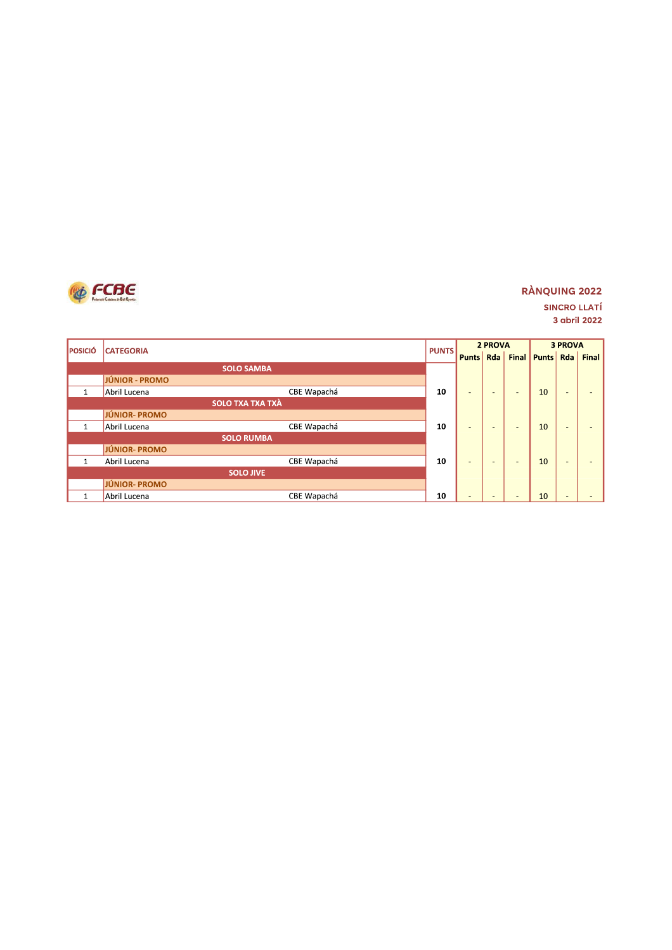

### **RÀNQUING 2022 SINCRO LLATÍ** 3 abril 2022

| <b>POSICIÓ</b> | <b>CATEGORIA</b>            |              | 2 PROVA                  |                          |                          |              | <b>3 PROVA</b>           |       |
|----------------|-----------------------------|--------------|--------------------------|--------------------------|--------------------------|--------------|--------------------------|-------|
|                |                             | <b>PUNTS</b> | <b>Punts</b>             | Rda                      | <b>Final</b>             | <b>Punts</b> | Rda                      | Final |
|                | <b>SOLO SAMBA</b>           |              |                          |                          |                          |              |                          |       |
|                | JÚNIOR - PROMO              |              |                          |                          |                          |              |                          |       |
| $\mathbf{1}$   | CBE Wapachá<br>Abril Lucena | 10           | $\overline{\phantom{a}}$ | ÷                        | -                        | 10           | $\sim$                   |       |
|                | <b>SOLO TXA TXA TXÀ</b>     |              |                          |                          |                          |              |                          |       |
|                | JÚNIOR-PROMO                |              |                          |                          |                          |              |                          |       |
| $\mathbf{1}$   | CBE Wapachá<br>Abril Lucena | 10           | ٠                        |                          | $\overline{\phantom{a}}$ | 10           | $\overline{a}$           |       |
|                | <b>SOLO RUMBA</b>           |              |                          |                          |                          |              |                          |       |
|                | JÚNIOR- PROMO               |              |                          |                          |                          |              |                          |       |
| $\mathbf{1}$   | CBE Wapachá<br>Abril Lucena | 10           | -                        | -                        | $\overline{\phantom{0}}$ | 10           | $\overline{a}$           |       |
|                | <b>SOLO JIVE</b>            |              |                          |                          |                          |              |                          |       |
|                | <b>JÚNIOR-PROMO</b>         |              |                          |                          |                          |              |                          |       |
| $\mathbf{1}$   | CBE Wapachá<br>Abril Lucena | 10           | $\sim$                   | $\overline{\phantom{a}}$ | $\overline{\phantom{0}}$ | 10           | $\overline{\phantom{a}}$ |       |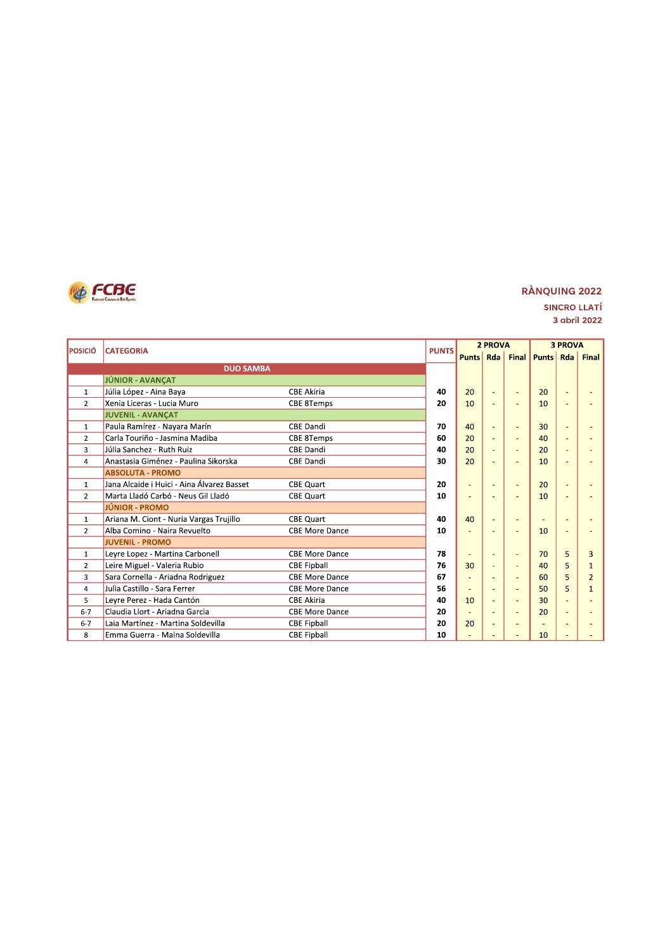

| <b>POSICIÓ</b> | <b>CATEGORIA</b>                           |                       | <b>PUNTS</b> |                | 2 PROVA        |                          | <b>3 PROVA</b>     |     |                |
|----------------|--------------------------------------------|-----------------------|--------------|----------------|----------------|--------------------------|--------------------|-----|----------------|
|                |                                            |                       |              | <b>Punts</b>   | Rda            |                          | <b>Final Punts</b> | Rda | <b>Final</b>   |
|                | <b>DUO SAMBA</b>                           |                       |              |                |                |                          |                    |     |                |
|                | JÚNIOR - AVANÇAT                           |                       |              |                |                |                          |                    |     |                |
| $\mathbf{1}$   | Júlia López - Aina Baya                    | <b>CBE Akiria</b>     | 40           | 20             | ٠              | ٠                        | 20                 |     |                |
| $\overline{2}$ | Xenia Liceras - Lucia Muro                 | <b>CBE 8Temps</b>     | 20           | 10             | $\overline{a}$ | $\overline{\phantom{a}}$ | 10                 |     |                |
|                | <b>JUVENIL - AVANCAT</b>                   |                       |              |                |                |                          |                    |     |                |
| $\mathbf{1}$   | Paula Ramírez - Nayara Marín               | <b>CBE Dandi</b>      | 70           | 40             | ٠              | ٠                        | 30                 |     |                |
| $\overline{2}$ | Carla Touriño - Jasmina Madiba             | <b>CBE 8Temps</b>     | 60           | 20             |                |                          | 40                 |     |                |
| 3              | Júlia Sanchez - Ruth Ruiz                  | <b>CBE Dandi</b>      | 40           | 20             | ÷,             |                          | 20                 |     |                |
| 4              | Anastasia Giménez - Paulina Sikorska       | <b>CBE Dandi</b>      | 30           | 20             |                |                          | 10                 |     |                |
|                | <b>ABSOLUTA - PROMO</b>                    |                       |              |                |                |                          |                    |     |                |
| $\mathbf{1}$   | Jana Alcaide i Huici - Aina Álvarez Basset | <b>CBE Quart</b>      | 20           | ٠              | ٠              | ٠                        | 20                 |     |                |
| $\overline{2}$ | Marta Lladó Carbó - Neus Gil Lladó         | <b>CBE Quart</b>      | 10           | ٠              |                |                          | 10                 |     |                |
|                | <b>JÚNIOR - PROMO</b>                      |                       |              |                |                |                          |                    |     |                |
| $\mathbf{1}$   | Ariana M. Ciont - Nuria Vargas Trujillo    | <b>CBE Quart</b>      | 40           | 40             | ٠              |                          | ٠                  |     |                |
| $\overline{2}$ | Alba Comino - Naira Revuelto               | <b>CBE More Dance</b> | 10           | ÷,             |                | $\overline{\phantom{a}}$ | 10                 |     |                |
|                | <b>JUVENIL - PROMO</b>                     |                       |              |                |                |                          |                    |     |                |
| $\mathbf{1}$   | Leyre Lopez - Martina Carbonell            | <b>CBE More Dance</b> | 78           | ÷              | ٠              | ÷,                       | 70                 | 5   | 3              |
| $\overline{2}$ | Leire Miguel - Valeria Rubio               | <b>CBE Fipball</b>    | 76           | 30             |                | $\overline{\phantom{a}}$ | 40                 | 5   |                |
| 3              | Sara Cornella - Ariadna Rodriguez          | <b>CBE More Dance</b> | 67           | ÷,             |                | ٠                        | 60                 | 5   | $\overline{2}$ |
| $\overline{4}$ | Julia Castillo - Sara Ferrer               | <b>CBE More Dance</b> | 56           | $\overline{a}$ |                |                          | 50                 | 5   |                |
| 5              | Leyre Perez - Hada Cantón                  | <b>CBE Akiria</b>     | 40           | 10             | ÷.             | ٠                        | 30                 |     |                |
| $6 - 7$        | Claudia Llort - Ariadna Garcia             | <b>CBE More Dance</b> | 20           | ۰              | ۰              | ÷                        | 20                 | ۰   |                |
| $6 - 7$        | Laia Martínez - Martina Soldevilla         | <b>CBE Fipball</b>    | 20           | 20             | ٠              |                          |                    |     |                |
| 8              | Emma Guerra - Maina Soldevilla             | <b>CBE Fipball</b>    | 10           |                |                |                          | 10                 |     |                |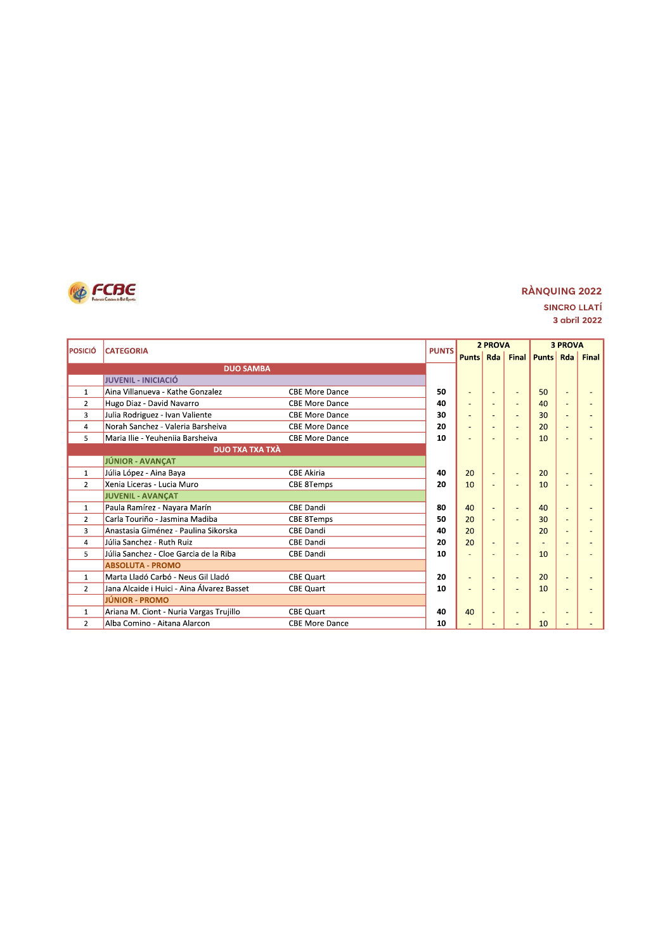

|                | <b>POSICIÓ</b><br><b>CATEGORIA</b>         |                       | <b>PUNTS</b> |                | 2 PROVA |   | <b>3 PROVA</b>  |        |              |
|----------------|--------------------------------------------|-----------------------|--------------|----------------|---------|---|-----------------|--------|--------------|
|                |                                            |                       |              | <b>Punts</b>   |         |   | Rda Final Punts | Rda    | <b>Final</b> |
|                | <b>DUO SAMBA</b>                           |                       |              |                |         |   |                 |        |              |
|                | <b>JUVENIL - INICIACIÓ</b>                 |                       |              |                |         |   |                 |        |              |
| $\mathbf{1}$   | Aina Villanueva - Kathe Gonzalez           | <b>CBE More Dance</b> | 50           | ٠              |         |   | 50              |        |              |
| $\overline{2}$ | Hugo Diaz - David Navarro                  | <b>CBE More Dance</b> | 40           | ٠              |         |   | 40              |        |              |
| 3              | Julia Rodriguez - Ivan Valiente            | <b>CBE More Dance</b> | 30           |                |         |   | 30              |        |              |
| 4              | Norah Sanchez - Valeria Barsheiva          | <b>CBE More Dance</b> | 20           | $\overline{a}$ |         |   | 20              |        |              |
| 5              | Maria Ilie - Yeuheniia Barsheiva           | <b>CBE More Dance</b> | 10           |                |         |   | 10              |        |              |
|                | <b>DUO TXA TXA TXÀ</b>                     |                       |              |                |         |   |                 |        |              |
|                | JÚNIOR - AVANÇAT                           |                       |              |                |         |   |                 |        |              |
| $\mathbf{1}$   | Júlia López - Aina Baya                    | <b>CBE Akiria</b>     | 40           | 20             | ٠       |   | 20              |        |              |
| $\mathfrak{p}$ | Xenia Liceras - Lucia Muro                 | <b>CBE 8Temps</b>     | 20           | 10             |         |   | 10              |        |              |
|                | <b>JUVENIL - AVANÇAT</b>                   |                       |              |                |         |   |                 |        |              |
| $\mathbf{1}$   | Paula Ramírez - Nayara Marín               | <b>CBE Dandi</b>      | 80           | 40             | ٠       |   | 40              |        |              |
| $\overline{2}$ | Carla Touriño - Jasmina Madiba             | <b>CBE 8Temps</b>     | 50           | 20             |         |   | 30              |        |              |
| 3              | Anastasia Giménez - Paulina Sikorska       | <b>CBE Dandi</b>      | 40           | 20             |         |   | 20              |        |              |
| $\overline{4}$ | Júlia Sanchez - Ruth Ruiz                  | <b>CBE Dandi</b>      | 20           | 20             | ÷.      |   | ×.              |        |              |
| 5              | Júlia Sanchez - Cloe Garcia de la Riba     | <b>CBE Dandi</b>      | 10           | $\overline{a}$ |         |   | 10              |        |              |
|                | <b>ABSOLUTA - PROMO</b>                    |                       |              |                |         |   |                 |        |              |
| 1              | Marta Lladó Carbó - Neus Gil Lladó         | <b>CBE Quart</b>      | 20           | ٠              | ٠       | ٠ | 20              | $\sim$ |              |
| $\overline{2}$ | Jana Alcaide i Huici - Aina Álvarez Basset | <b>CBE Quart</b>      | 10           | ٠              |         | ٠ | 10              |        |              |
|                | <b>JÚNIOR - PROMO</b>                      |                       |              |                |         |   |                 |        |              |
| $\mathbf{1}$   | Ariana M. Ciont - Nuria Vargas Trujillo    | <b>CBE Quart</b>      | 40           | 40             | ٠       |   | $\blacksquare$  |        |              |
| $\overline{2}$ | Alba Comino - Aitana Alarcon               | <b>CBE More Dance</b> | 10           | $\blacksquare$ |         |   | 10              |        |              |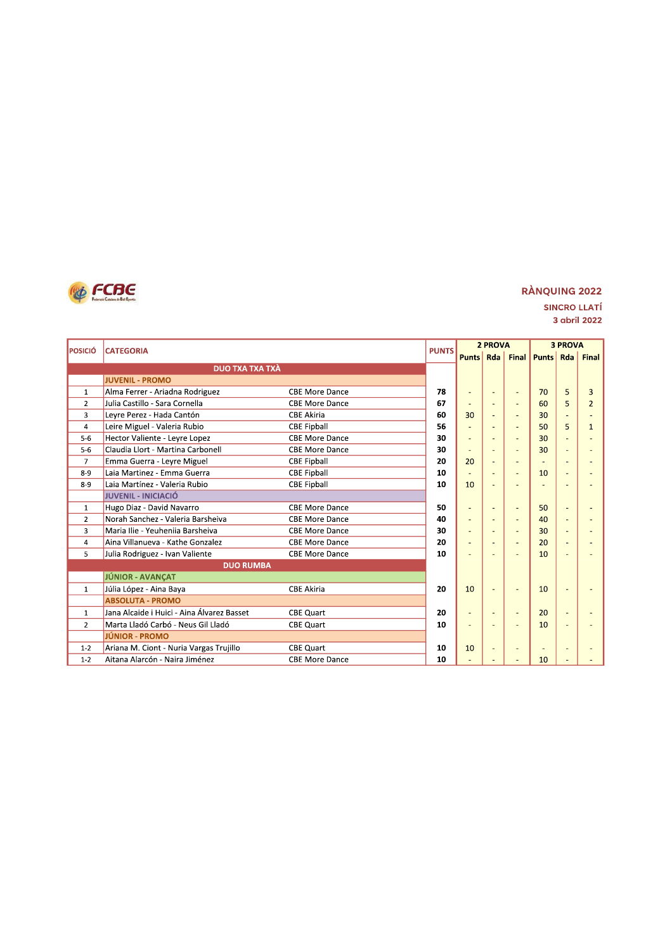

### **RÀNQUING 2022 SINCRO LLATÍ** 3 abril 2022

|                |                                            |                       |              | 2 PROVA          |                |                          | <b>3 PROVA</b>         |   |                |
|----------------|--------------------------------------------|-----------------------|--------------|------------------|----------------|--------------------------|------------------------|---|----------------|
| <b>POSICIÓ</b> | <b>CATEGORIA</b>                           |                       | <b>PUNTS</b> | <b>Punts</b> Rda |                |                          | <b>Final Punts Rda</b> |   | <b>Final</b>   |
|                | <b>DUO TXA TXA TXÀ</b>                     |                       |              |                  |                |                          |                        |   |                |
|                | <b>JUVENIL - PROMO</b>                     |                       |              |                  |                |                          |                        |   |                |
| $\mathbf{1}$   | Alma Ferrer - Ariadna Rodriguez            | <b>CBE More Dance</b> | 78           | ٠                | ٠              | ÷                        | 70                     | 5 | 3              |
| $\overline{2}$ | Julia Castillo - Sara Cornella             | <b>CBE More Dance</b> | 67           |                  |                |                          | 60                     | 5 | $\overline{2}$ |
| 3              | Leyre Perez - Hada Cantón                  | <b>CBE Akiria</b>     | 60           | 30               | ٠              | $\sim$                   | 30                     |   |                |
| 4              | Leire Miguel - Valeria Rubio               | <b>CBE Fipball</b>    | 56           |                  |                |                          | 50                     | 5 |                |
| $5 - 6$        | Hector Valiente - Leyre Lopez              | <b>CBE More Dance</b> | 30           | ÷,               |                |                          | 30                     |   |                |
| $5-6$          | Claudia Llort - Martina Carbonell          | <b>CBE More Dance</b> | 30           | ÷                | ٠              |                          | 30                     |   |                |
| $\overline{7}$ | Emma Guerra - Leyre Miguel                 | <b>CBE Fipball</b>    | 20           | 20               |                |                          |                        |   |                |
| $8 - 9$        | Laia Martinez - Emma Guerra                | <b>CBE Fipball</b>    | 10           | ٠                | Ē,             |                          | 10                     |   |                |
| $8 - 9$        | Laia Martínez - Valeria Rubio              | <b>CBE Fipball</b>    | 10           | 10               |                |                          |                        |   |                |
|                | <b>JUVENIL - INICIACIÓ</b>                 |                       |              |                  |                |                          |                        |   |                |
| $\mathbf{1}$   | Hugo Diaz - David Navarro                  | <b>CBE More Dance</b> | 50           | ٠                | ٠              | ÷.                       | 50                     |   |                |
| $\overline{2}$ | Norah Sanchez - Valeria Barsheiva          | <b>CBE More Dance</b> | 40           | $\overline{a}$   |                |                          | 40                     |   |                |
| 3              | Maria Ilie - Yeuheniia Barsheiva           | <b>CBE More Dance</b> | 30           |                  | $\overline{a}$ | $\overline{\phantom{a}}$ | 30                     |   |                |
| $\overline{4}$ | Aina Villanueva - Kathe Gonzalez           | <b>CBE More Dance</b> | 20           | $\overline{a}$   |                |                          | 20                     |   |                |
| 5              | Julia Rodriguez - Ivan Valiente            | <b>CBE More Dance</b> | 10           | $\overline{a}$   |                |                          | 10                     |   |                |
|                | <b>DUO RUMBA</b>                           |                       |              |                  |                |                          |                        |   |                |
|                | JÚNIOR - AVANÇAT                           |                       |              |                  |                |                          |                        |   |                |
| $\mathbf{1}$   | Júlia López - Aina Baya                    | <b>CBE Akiria</b>     | 20           | 10               | ٠              | $\overline{\phantom{a}}$ | 10                     |   |                |
|                | <b>ABSOLUTA - PROMO</b>                    |                       |              |                  |                |                          |                        |   |                |
| $\mathbf{1}$   | Jana Alcaide i Huici - Aina Álvarez Basset | <b>CBE Quart</b>      | 20           | $\overline{a}$   |                |                          | 20                     |   |                |
| $\overline{2}$ | Marta Lladó Carbó - Neus Gil Lladó         | <b>CBE Quart</b>      | 10           | $\overline{a}$   | $\overline{a}$ |                          | 10                     |   |                |
|                | <b>JÚNIOR - PROMO</b>                      |                       |              |                  |                |                          |                        |   |                |
| $1 - 2$        | Ariana M. Ciont - Nuria Vargas Trujillo    | <b>CBE Quart</b>      | 10           | 10               | ٠              |                          | $\overline{a}$         |   |                |
| $1 - 2$        | Aitana Alarcón - Naira Jiménez             | <b>CBE More Dance</b> | 10           |                  |                |                          | 10                     |   |                |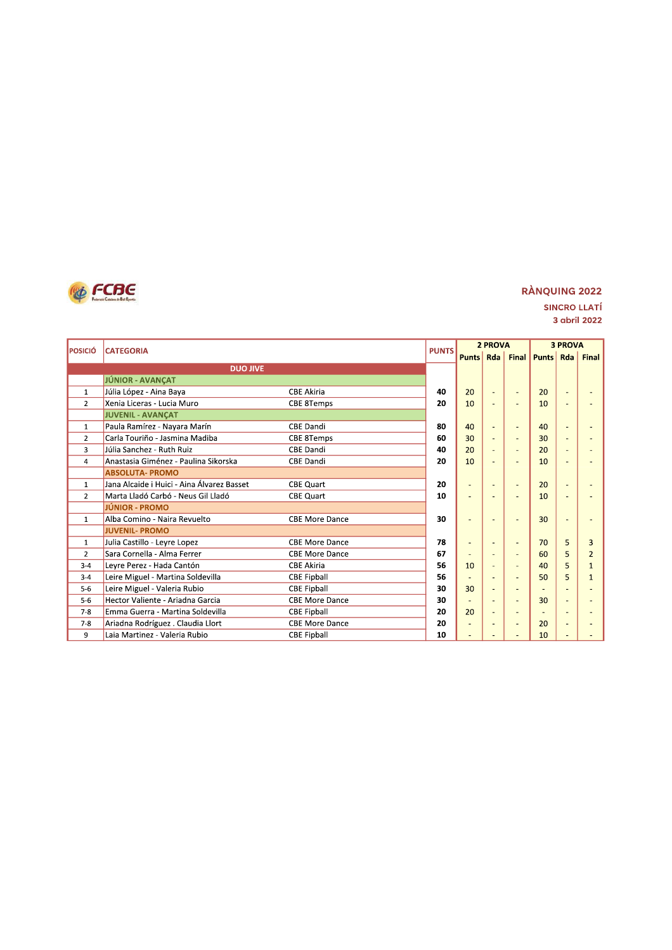

| <b>POSICIÓ</b> | <b>CATEGORIA</b>                           |                       | <b>PUNTS</b> | 2 PROVA                  |                          |    | <b>3 PROVA</b>        |        |              |  |
|----------------|--------------------------------------------|-----------------------|--------------|--------------------------|--------------------------|----|-----------------------|--------|--------------|--|
|                |                                            |                       |              |                          |                          |    | Punts Rda Final Punts | Rda    | <b>Final</b> |  |
|                | <b>DUO JIVE</b>                            |                       |              |                          |                          |    |                       |        |              |  |
|                | JÚNIOR - AVANÇAT                           |                       |              |                          |                          |    |                       |        |              |  |
| $\mathbf{1}$   | Júlia López - Aina Baya                    | <b>CBE Akiria</b>     | 40           | 20                       | ٠                        |    | 20                    |        |              |  |
| $\overline{2}$ | Xenia Liceras - Lucia Muro                 | <b>CBE 8Temps</b>     | 20           | 10                       | $\overline{a}$           |    | 10                    |        |              |  |
|                | <b>JUVENIL - AVANCAT</b>                   |                       |              |                          |                          |    |                       |        |              |  |
| $\mathbf{1}$   | Paula Ramírez - Nayara Marín               | <b>CBE Dandi</b>      | 80           | 40                       | $\blacksquare$           | ٠  | 40                    |        |              |  |
| $\overline{2}$ | Carla Touriño - Jasmina Madiba             | <b>CBE 8Temps</b>     | 60           | 30                       | $\overline{a}$           |    | 30                    |        |              |  |
| 3              | Júlia Sanchez - Ruth Ruiz                  | <b>CBE Dandi</b>      | 40           | 20                       |                          |    | 20                    |        |              |  |
| $\overline{4}$ | Anastasia Giménez - Paulina Sikorska       | <b>CBE Dandi</b>      | 20           | 10                       |                          |    | 10                    |        |              |  |
|                | <b>ABSOLUTA- PROMO</b>                     |                       |              |                          |                          |    |                       |        |              |  |
| $\mathbf{1}$   | Jana Alcaide i Huici - Aina Álvarez Basset | <b>CBE Quart</b>      | 20           | ٠                        | ٠                        | ٠  | 20                    | $\sim$ |              |  |
| $\overline{2}$ | Marta Lladó Carbó - Neus Gil Lladó         | <b>CBE Quart</b>      | 10           | $\overline{\phantom{a}}$ |                          |    | 10                    |        |              |  |
|                | <b>JÚNIOR - PROMO</b>                      |                       |              |                          |                          |    |                       |        |              |  |
| $\mathbf{1}$   | Alba Comino - Naira Revuelto               | <b>CBE More Dance</b> | 30           | ٠                        |                          |    | 30                    |        |              |  |
|                | <b>JUVENIL- PROMO</b>                      |                       |              |                          |                          |    |                       |        |              |  |
| $\mathbf{1}$   | Julia Castillo - Levre Lopez               | <b>CBE More Dance</b> | 78           | ٠                        |                          | ٠  | 70                    | 5      | 3            |  |
| $\overline{2}$ | Sara Cornella - Alma Ferrer                | <b>CBE More Dance</b> | 67           | $\overline{a}$           | ٠                        | ÷, | 60                    | 5      | 2            |  |
| $3 - 4$        | Leyre Perez - Hada Cantón                  | <b>CBE Akiria</b>     | 56           | 10                       |                          | ٠  | 40                    | 5      |              |  |
| $3 - 4$        | Leire Miguel - Martina Soldevilla          | <b>CBE Fipball</b>    | 56           |                          |                          |    | 50                    | 5      |              |  |
| $5-6$          | Leire Miguel - Valeria Rubio               | <b>CBE Fipball</b>    | 30           | 30                       | $\overline{a}$           |    |                       |        |              |  |
| $5-6$          | Hector Valiente - Ariadna Garcia           | <b>CBE More Dance</b> | 30           | ٠                        |                          | ÷. | 30                    |        |              |  |
| $7 - 8$        | Emma Guerra - Martina Soldevilla           | <b>CBE Fipball</b>    | 20           | 20                       | $\overline{a}$           | ٠  | $\sim$                |        |              |  |
| $7-8$          | Ariadna Rodríguez . Claudia Llort          | <b>CBE More Dance</b> | 20           | ٠                        | $\overline{\phantom{a}}$ | ٠  | 20                    |        |              |  |
| 9              | Laia Martinez - Valeria Rubio              | <b>CBE Fipball</b>    | 10           | ÷,                       |                          |    | 10                    |        |              |  |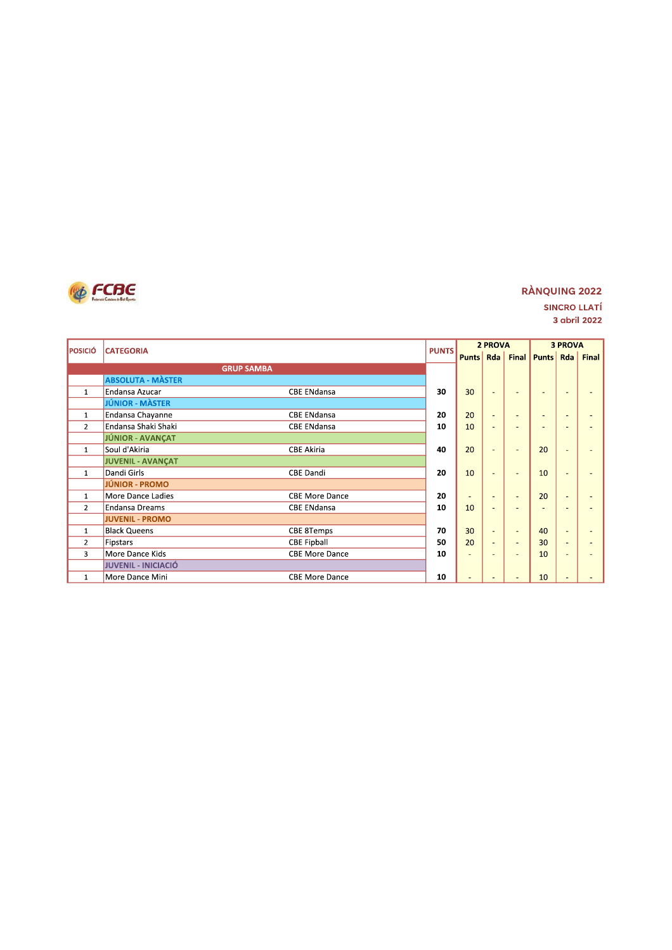

| <b>POSICIÓ</b> |                            |                       | <b>PUNTS</b> | 2 PROVA                  |                          |                          |                | <b>3 PROVA</b> |              |
|----------------|----------------------------|-----------------------|--------------|--------------------------|--------------------------|--------------------------|----------------|----------------|--------------|
|                | <b>CATEGORIA</b>           |                       |              | <b>Punts</b>             |                          | Rda Final                | <b>Punts</b>   | Rda            | <b>Final</b> |
|                | <b>GRUP SAMBA</b>          |                       |              |                          |                          |                          |                |                |              |
|                | <b>ABSOLUTA - MÀSTER</b>   |                       |              |                          |                          |                          |                |                |              |
| $\mathbf{1}$   | Endansa Azucar             | <b>CBE ENdansa</b>    | 30           | 30                       | ٠                        |                          | $\sim$         |                |              |
|                | <b>JÚNIOR - MÀSTER</b>     |                       |              |                          |                          |                          |                |                |              |
| $\mathbf{1}$   | Endansa Chayanne           | <b>CBE ENdansa</b>    | 20           | 20                       | $\sim$                   |                          | $\overline{a}$ |                |              |
| $\overline{2}$ | Endansa Shaki Shaki        | <b>CBE ENdansa</b>    | 10           | 10                       | ٠                        |                          | $\sim$         |                |              |
|                | <b>JÚNIOR - AVANCAT</b>    |                       |              |                          |                          |                          |                |                |              |
| $\mathbf{1}$   | Soul d'Akiria              | <b>CBE Akiria</b>     | 40           | 20                       | $\overline{\phantom{a}}$ | $\overline{a}$           | 20             | ٠              |              |
|                | JUVENIL - AVANÇAT          |                       |              |                          |                          |                          |                |                |              |
| $\mathbf{1}$   | Dandi Girls                | <b>CBE Dandi</b>      | 20           | 10                       | ٠                        | ٠                        | 10             |                |              |
|                | <b>JÚNIOR - PROMO</b>      |                       |              |                          |                          |                          |                |                |              |
| $\mathbf{1}$   | More Dance Ladies          | <b>CBE More Dance</b> | 20           | $\overline{\phantom{a}}$ |                          | $\overline{\phantom{a}}$ | 20             |                |              |
| $\overline{2}$ | <b>Endansa Dreams</b>      | <b>CBE ENdansa</b>    | 10           | 10                       | ٠                        |                          | $\overline{a}$ |                |              |
|                | <b>JUVENIL - PROMO</b>     |                       |              |                          |                          |                          |                |                |              |
| $\mathbf{1}$   | <b>Black Queens</b>        | CBE 8Temps            | 70           | 30                       | $\overline{a}$           | $\overline{\phantom{a}}$ | 40             |                |              |
| $\overline{2}$ | Fipstars                   | <b>CBE Fipball</b>    | 50           | 20                       | ٠                        | $\overline{\phantom{a}}$ | 30             | $\sim$         |              |
| 3              | More Dance Kids            | <b>CBE More Dance</b> | 10           | ٠                        | ۰                        | $\overline{\phantom{a}}$ | 10             | ۰              |              |
|                | <b>JUVENIL - INICIACIÓ</b> |                       |              |                          |                          |                          |                |                |              |
| $\mathbf{1}$   | More Dance Mini            | <b>CBE More Dance</b> | 10           | ٠                        |                          |                          | 10             |                |              |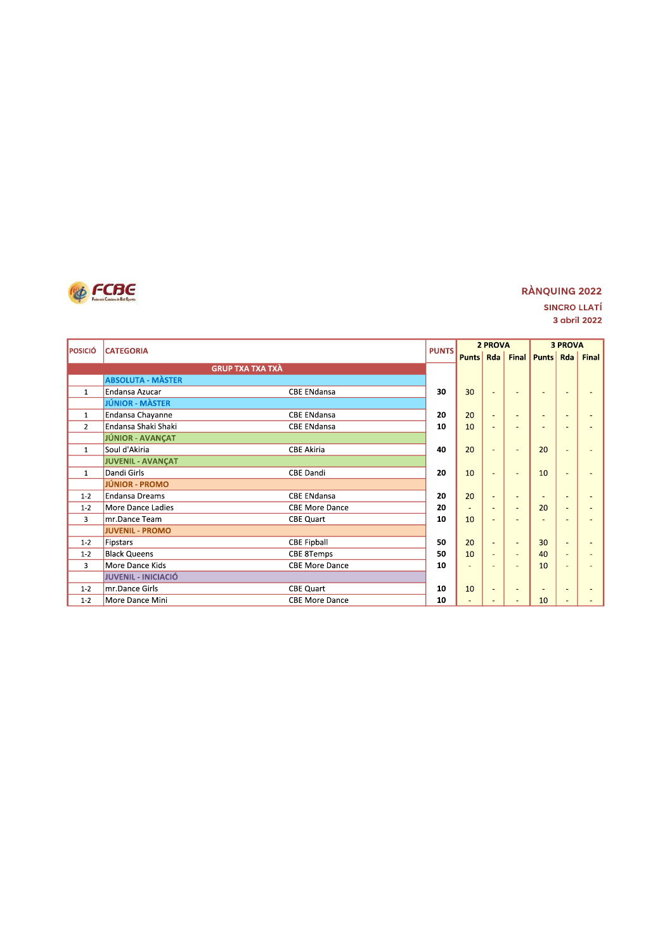

| <b>POSICIÓ</b> | <b>CATEGORIA</b>         |                       | <b>PUNTS</b> |                | 2 PROVA                  |                          | <b>3 PROVA</b>           |        |              |
|----------------|--------------------------|-----------------------|--------------|----------------|--------------------------|--------------------------|--------------------------|--------|--------------|
|                |                          |                       |              |                |                          | <b>Punts Rda Final</b>   | <b>Punts</b>             | Rda    | <b>Final</b> |
|                | <b>GRUP TXA TXA TXÀ</b>  |                       |              |                |                          |                          |                          |        |              |
|                | <b>ABSOLUTA - MÀSTER</b> |                       |              |                |                          |                          |                          |        |              |
| $\mathbf{1}$   | Endansa Azucar           | <b>CBE ENdansa</b>    | 30           | 30             | ٠                        |                          | ٠                        |        |              |
|                | JÚNIOR - MÀSTER          |                       |              |                |                          |                          |                          |        |              |
| $\mathbf{1}$   | Endansa Chayanne         | <b>CBE ENdansa</b>    | 20           | 20             | ÷.                       |                          | $\overline{a}$           |        |              |
| $\overline{2}$ | Endansa Shaki Shaki      | <b>CBE ENdansa</b>    | 10           | 10             | ٠                        |                          | ٠                        |        |              |
|                | JÚNIOR - AVANÇAT         |                       |              |                |                          |                          |                          |        |              |
| $\mathbf{1}$   | Soul d'Akiria            | <b>CBE Akiria</b>     | 40           | 20             | $\overline{a}$           | ٠                        | 20                       | ٠      |              |
|                | JUVENIL - AVANÇAT        |                       |              |                |                          |                          |                          |        |              |
| $\mathbf{1}$   | Dandi Girls              | <b>CBE Dandi</b>      | 20           | 10             | ٠                        |                          | 10                       |        |              |
|                | <b>JÚNIOR - PROMO</b>    |                       |              |                |                          |                          |                          |        |              |
| $1 - 2$        | <b>Endansa Dreams</b>    | <b>CBE ENdansa</b>    | 20           | 20             | $\overline{a}$           |                          | $\overline{\phantom{a}}$ |        |              |
| $1 - 2$        | More Dance Ladies        | <b>CBE More Dance</b> | 20           | $\blacksquare$ | ٠                        | $\overline{\phantom{a}}$ | 20                       | $\sim$ |              |
| 3              | mr.Dance Team            | <b>CBE Quart</b>      | 10           | 10             | ٠                        |                          | ٠                        |        |              |
|                | <b>JUVENIL - PROMO</b>   |                       |              |                |                          |                          |                          |        |              |
| $1 - 2$        | Fipstars                 | <b>CBE Fipball</b>    | 50           | 20             | ٠                        | ٠                        | 30                       | ٠      |              |
| $1 - 2$        | <b>Black Queens</b>      | <b>CBE 8Temps</b>     | 50           | 10             |                          |                          | 40                       |        |              |
| 3              | More Dance Kids          | <b>CBE More Dance</b> | 10           | $\equiv$       |                          |                          | 10                       |        |              |
|                | JUVENIL - INICIACIÓ      |                       |              |                |                          |                          |                          |        |              |
| $1 - 2$        | mr.Dance Girls           | <b>CBE Quart</b>      | 10           | 10             | $\overline{\phantom{a}}$ | ٠                        | $\overline{\phantom{0}}$ |        |              |
| $1 - 2$        | More Dance Mini          | <b>CBE More Dance</b> | 10           | ٠              |                          |                          | 10                       |        |              |